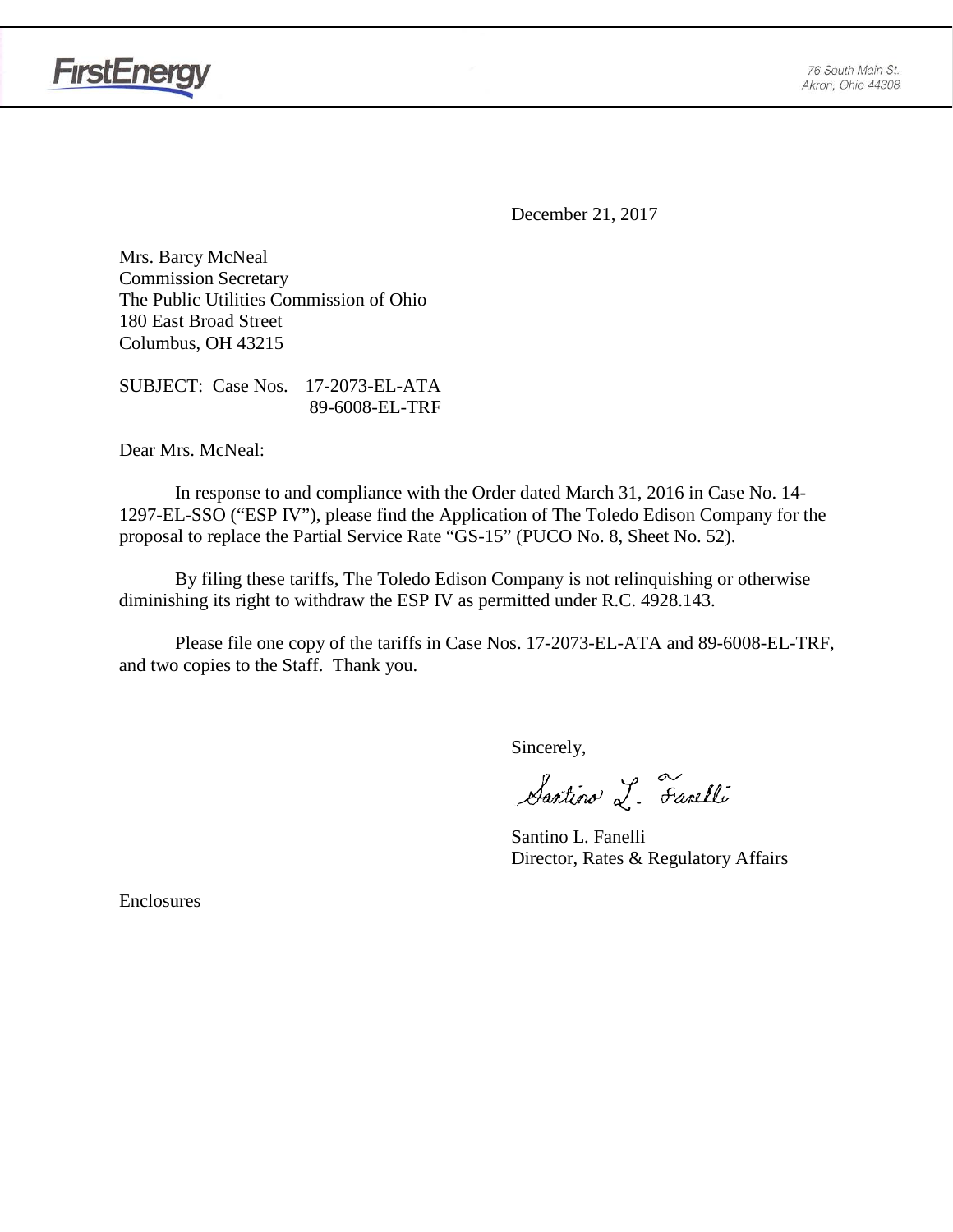

**FirstEnergy** 

December 21, 2017

Mrs. Barcy McNeal Commission Secretary The Public Utilities Commission of Ohio 180 East Broad Street Columbus, OH 43215

SUBJECT: Case Nos. 17-2073-EL-ATA 89-6008-EL-TRF

Dear Mrs. McNeal:

In response to and compliance with the Order dated March 31, 2016 in Case No. 14- 1297-EL-SSO ("ESP IV"), please find the Application of The Toledo Edison Company for the proposal to replace the Partial Service Rate "GS-15" (PUCO No. 8, Sheet No. 52).

By filing these tariffs, The Toledo Edison Company is not relinquishing or otherwise diminishing its right to withdraw the ESP IV as permitted under R.C. 4928.143.

Please file one copy of the tariffs in Case Nos. 17-2073-EL-ATA and 89-6008-EL-TRF, and two copies to the Staff. Thank you.

Sincerely,

Santino L. Farelli

Santino L. Fanelli Director, Rates & Regulatory Affairs

Enclosures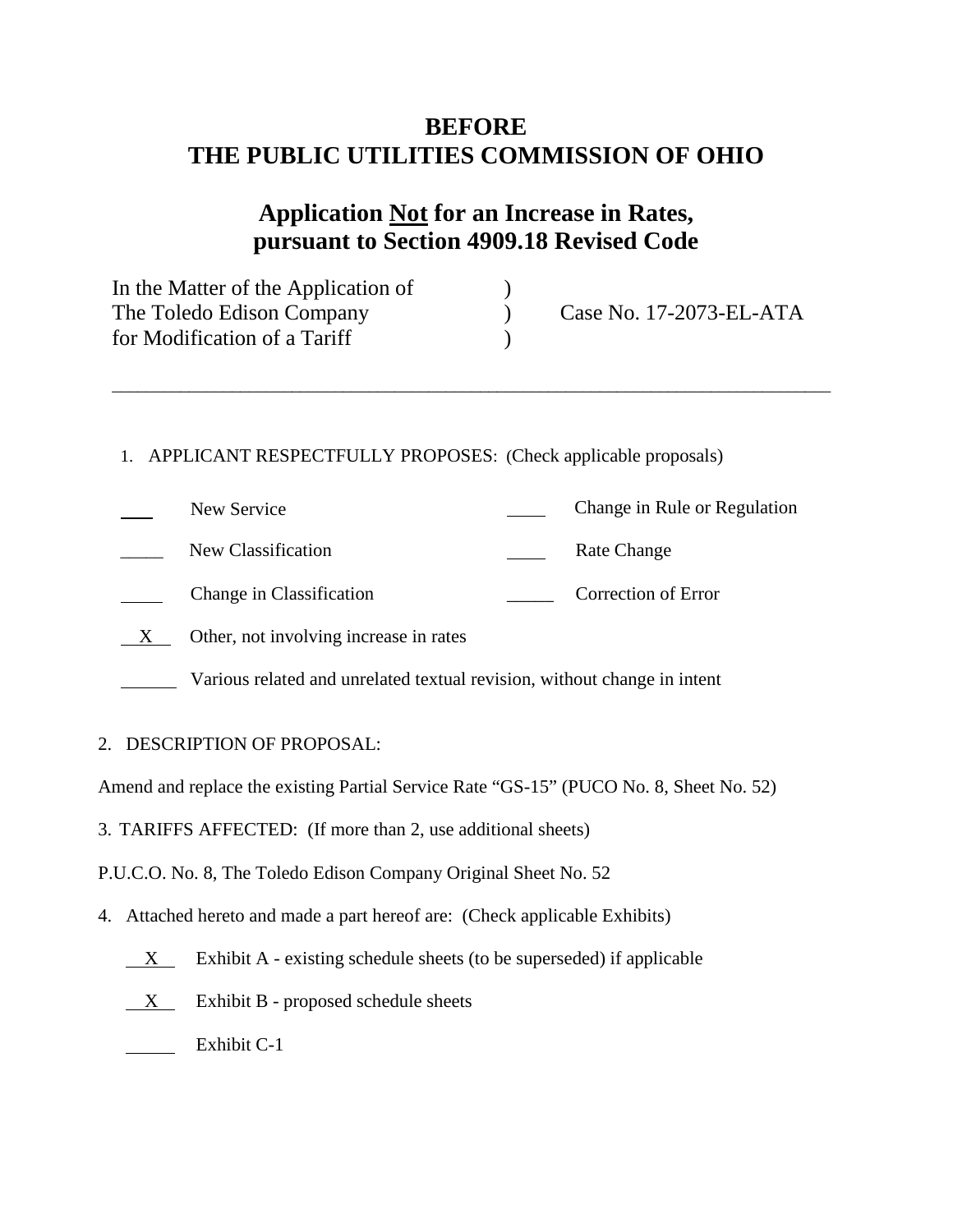## **BEFORE THE PUBLIC UTILITIES COMMISSION OF OHIO**

## **Application Not for an Increase in Rates, pursuant to Section 4909.18 Revised Code**

| In the Matter of the Application of |                         |
|-------------------------------------|-------------------------|
| The Toledo Edison Company           | Case No. 17-2073-EL-ATA |
| for Modification of a Tariff        |                         |

\_\_\_\_\_\_\_\_\_\_\_\_\_\_\_\_\_\_\_\_\_\_\_\_\_\_\_\_\_\_\_\_\_\_\_\_\_\_\_\_\_\_\_\_\_\_\_\_\_\_\_\_\_\_\_\_\_\_\_\_\_\_\_\_\_\_\_\_\_\_\_\_\_\_\_\_\_\_\_\_\_\_\_\_

1. APPLICANT RESPECTFULLY PROPOSES: (Check applicable proposals)

| New Service                            | Change in Rule or Regulation |
|----------------------------------------|------------------------------|
| New Classification                     | Rate Change                  |
| Change in Classification               | Correction of Error          |
| Other, not involving increase in rates |                              |
|                                        |                              |

- Various related and unrelated textual revision, without change in intent
- 2. DESCRIPTION OF PROPOSAL:

Amend and replace the existing Partial Service Rate "GS-15" (PUCO No. 8, Sheet No. 52)

3. TARIFFS AFFECTED: (If more than 2, use additional sheets)

P.U.C.O. No. 8, The Toledo Edison Company Original Sheet No. 52

- 4. Attached hereto and made a part hereof are: (Check applicable Exhibits)
	- $X$  Exhibit A existing schedule sheets (to be superseded) if applicable
	- $X$  Exhibit B proposed schedule sheets

Exhibit C-1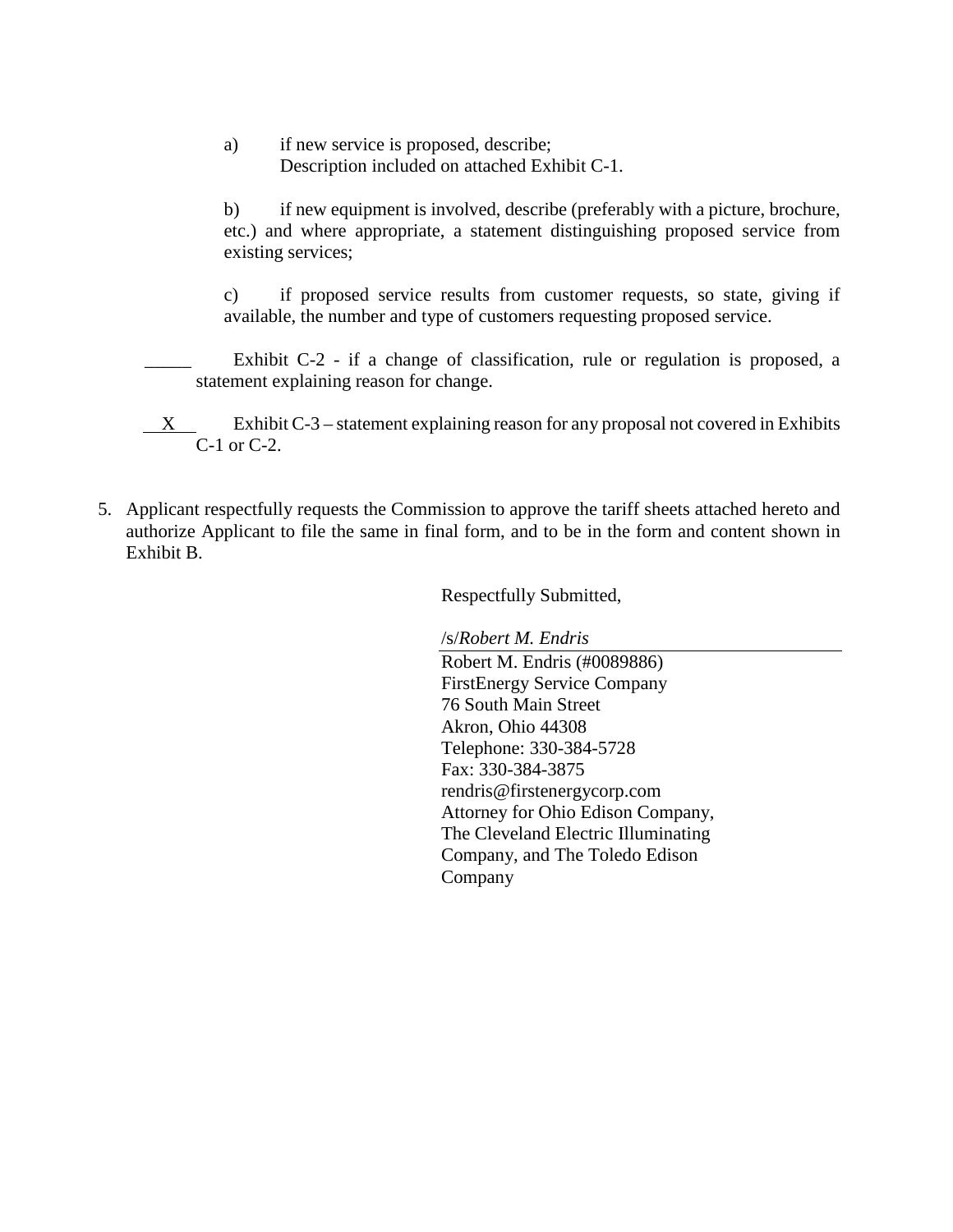a) if new service is proposed, describe; Description included on attached Exhibit C-1.

b) if new equipment is involved, describe (preferably with a picture, brochure, etc.) and where appropriate, a statement distinguishing proposed service from existing services;

c) if proposed service results from customer requests, so state, giving if available, the number and type of customers requesting proposed service.

Exhibit C-2 - if a change of classification, rule or regulation is proposed, a statement explaining reason for change.

- X Exhibit C-3 statement explaining reason for any proposal not covered in Exhibits C-1 or C-2.
- 5. Applicant respectfully requests the Commission to approve the tariff sheets attached hereto and authorize Applicant to file the same in final form, and to be in the form and content shown in Exhibit B.

Respectfully Submitted,

/s/*Robert M. Endris*

Robert M. Endris (#0089886) FirstEnergy Service Company 76 South Main Street Akron, Ohio 44308 Telephone: 330-384-5728 Fax: 330-384-3875 rendris@firstenergycorp.com Attorney for Ohio Edison Company, The Cleveland Electric Illuminating Company, and The Toledo Edison Company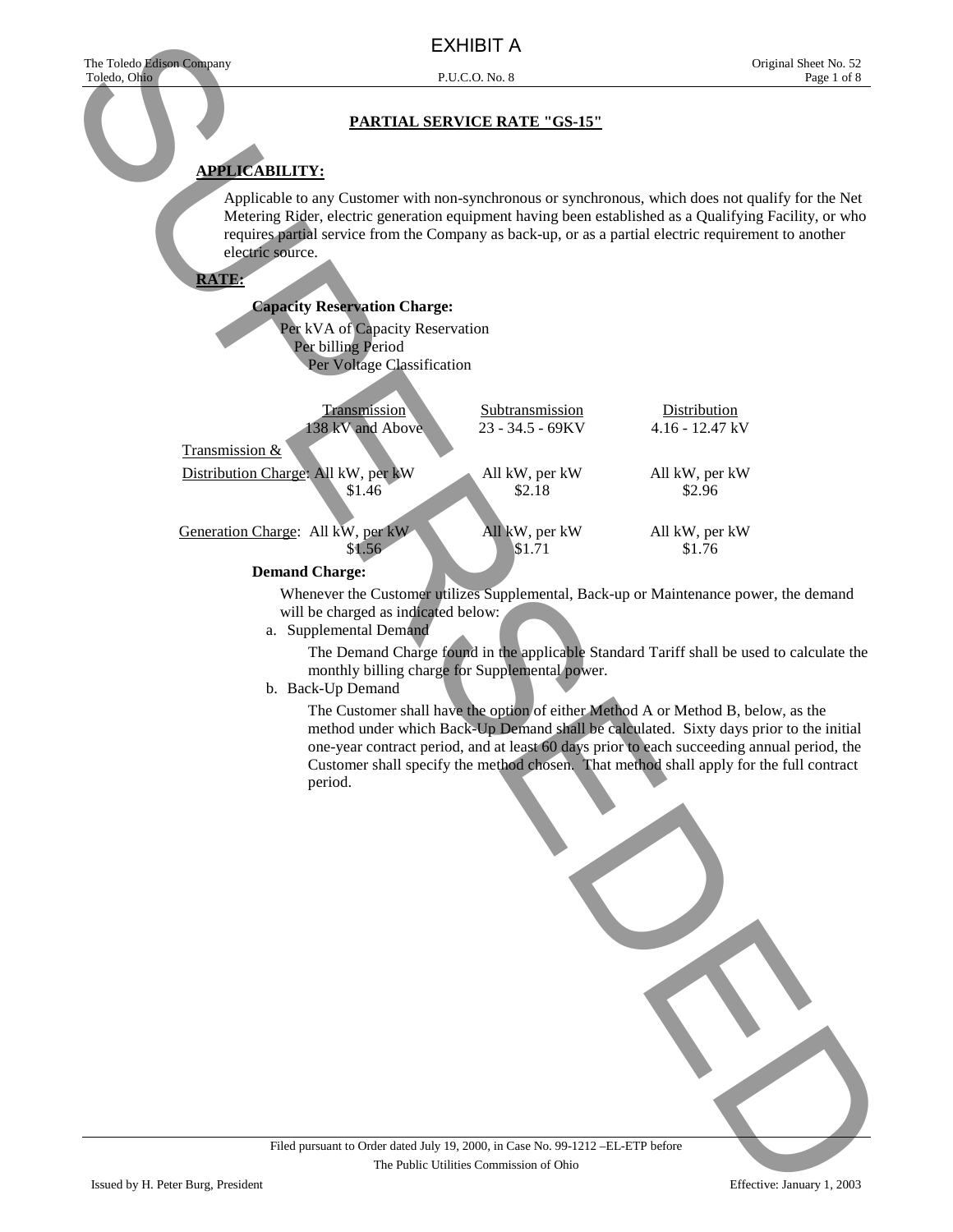## **APPLICABILITY:**

Applicable to any Customer with non-synchronous or synchronous, which does not qualify for the Net Metering Rider, electric generation equipment having been established as a Qualifying Facility, or who requires partial service from the Company as back-up, or as a partial electric requirement to another electric source.

**RATE:**

#### **Capacity Reservation Charge:**

Per kVA of Capacity Reservation Per billing Period Per Voltage Classification

| Transmission                        | Subtransmission    | Distribution      |
|-------------------------------------|--------------------|-------------------|
| 138 kV and Above                    | $23 - 34.5 - 69KV$ | $4.16 - 12.47$ kV |
| Transmission &                      |                    |                   |
| Distribution Charge: All kW, per kW | All kW, per kW     | All kW, per kW    |
| \$1.46                              | \$2.18             | \$2.96            |
| Generation Charge: All kW, per kW   | All kW, per kW     | All kW, per kW    |
| \$1.56                              | \$1.71             | \$1.76            |
| <b>Demand Charge:</b>               |                    |                   |

Whenever the Customer utilizes Supplemental, Back-up or Maintenance power, the demand will be charged as indicated below:

a. Supplemental Demand

The Demand Charge found in the applicable Standard Tariff shall be used to calculate the monthly billing charge for Supplemental power.

b. Back-Up Demand

The Customer shall have the option of either Method A or Method B, below, as the method under which Back-Up Demand shall be calculated. Sixty days prior to the initial one-year contract period, and at least 60 days prior to each succeeding annual period, the Customer shall specify the method chosen. That method shall apply for the full contract period.

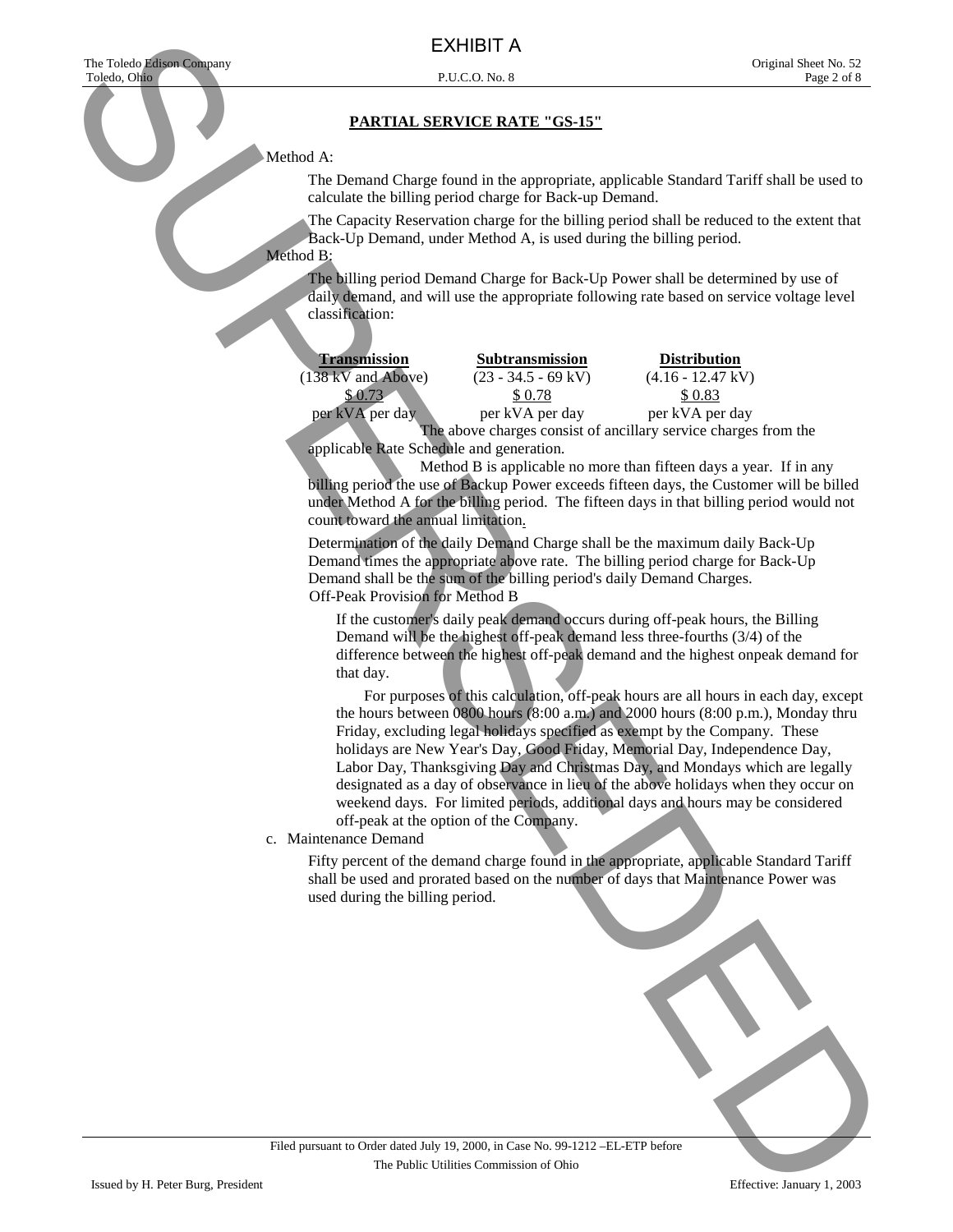#### Method A:

 The Demand Charge found in the appropriate, applicable Standard Tariff shall be used to calculate the billing period charge for Back-up Demand.

The Capacity Reservation charge for the billing period shall be reduced to the extent that Back-Up Demand, under Method A, is used during the billing period.

## Method B:

The billing period Demand Charge for Back-Up Power shall be determined by use of daily demand, and will use the appropriate following rate based on service voltage level classification:

| <b>Transmission</b>          | <b>Subtransmission</b>        | <b>Distribution</b>                                         |
|------------------------------|-------------------------------|-------------------------------------------------------------|
| $(138 \text{ kV}$ and Above) | $(23 - 34.5 - 69 \text{ kV})$ | $(4.16 - 12.47 \text{ kV})$                                 |
|                              | \$0.78                        | \$ 0.83                                                     |
| per kVA per day              | per kVA per day               | per kVA per day                                             |
|                              |                               | The above charges consist of ancillary service charges from |

above charges consist of ancillary service charges from the applicable Rate Schedule and generation.

 Method B is applicable no more than fifteen days a year. If in any billing period the use of Backup Power exceeds fifteen days, the Customer will be billed under Method A for the billing period. The fifteen days in that billing period would not count toward the annual limitation.

Determination of the daily Demand Charge shall be the maximum daily Back-Up Demand times the appropriate above rate. The billing period charge for Back-Up Demand shall be the sum of the billing period's daily Demand Charges. Off-Peak Provision for Method B

If the customer's daily peak demand occurs during off-peak hours, the Billing Demand will be the highest off-peak demand less three-fourths (3/4) of the difference between the highest off-peak demand and the highest onpeak demand for that day.

 For purposes of this calculation, off-peak hours are all hours in each day, except the hours between 0800 hours (8:00 a.m.) and 2000 hours (8:00 p.m.), Monday thru Friday, excluding legal holidays specified as exempt by the Company. These holidays are New Year's Day, Good Friday, Memorial Day, Independence Day, Labor Day, Thanksgiving Day and Christmas Day, and Mondays which are legally designated as a day of observance in lieu of the above holidays when they occur on weekend days. For limited periods, additional days and hours may be considered off-peak at the option of the Company. EXHIBIT AND THE CONFIDENTIAL CONFIDENTIAL CONFIDENTIAL CONFIDENTIAL CONFIDENTIAL CONFIDENTIAL CONFIDENTIAL CONFIDENTIAL CONFIDENTIAL CONFIDENTIAL CONFIDENTIAL CONFIDENTIAL CONFIDENTIAL CONFIDENTIAL CONFIDENTIAL CONFIDENTI

c. Maintenance Demand

Fifty percent of the demand charge found in the appropriate, applicable Standard Tariff shall be used and prorated based on the number of days that Maintenance Power was used during the billing period.

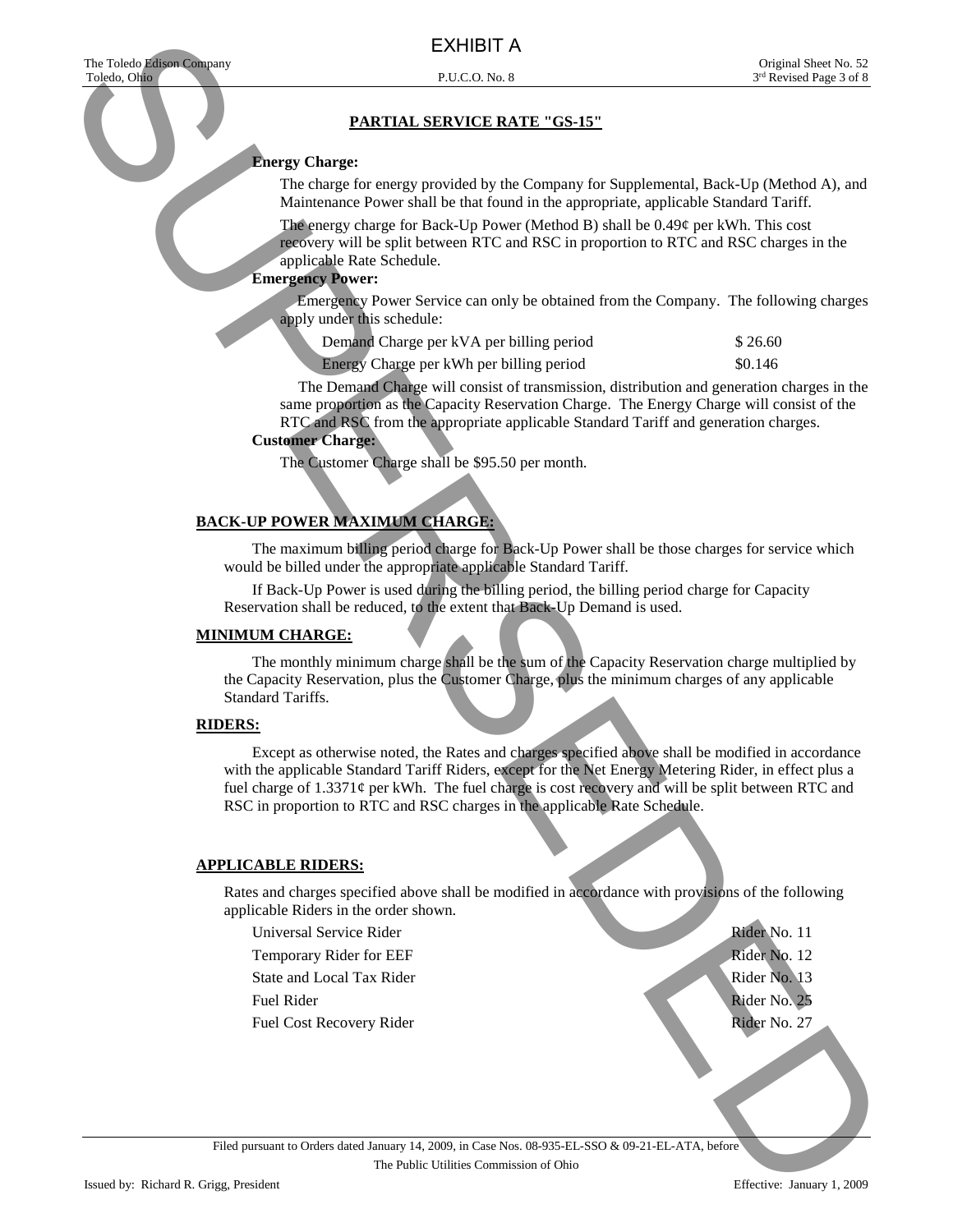#### **Energy Charge:**

The charge for energy provided by the Company for Supplemental, Back-Up (Method A), and Maintenance Power shall be that found in the appropriate, applicable Standard Tariff.

The energy charge for Back-Up Power (Method B) shall be 0.49¢ per kWh. This cost recovery will be split between RTC and RSC in proportion to RTC and RSC charges in the applicable Rate Schedule.

## **Emergency Power:**

Emergency Power Service can only be obtained from the Company. The following charges apply under this schedule:

| Demand Charge per kVA per billing period | \$26.60 |
|------------------------------------------|---------|
|                                          |         |

Energy Charge per kWh per billing period  $$0.146$ 

The Demand Charge will consist of transmission, distribution and generation charges in the same proportion as the Capacity Reservation Charge. The Energy Charge will consist of the RTC and RSC from the appropriate applicable Standard Tariff and generation charges.

#### **Customer Charge:**

The Customer Charge shall be \$95.50 per month.

### **BACK-UP POWER MAXIMUM CHARGE:**

 The maximum billing period charge for Back-Up Power shall be those charges for service which would be billed under the appropriate applicable Standard Tariff.

 If Back-Up Power is used during the billing period, the billing period charge for Capacity Reservation shall be reduced, to the extent that Back-Up Demand is used.

#### **MINIMUM CHARGE:**

 The monthly minimum charge shall be the sum of the Capacity Reservation charge multiplied by the Capacity Reservation, plus the Customer Charge, plus the minimum charges of any applicable Standard Tariffs.

#### **RIDERS:**

 Except as otherwise noted, the Rates and charges specified above shall be modified in accordance with the applicable Standard Tariff Riders, except for the Net Energy Metering Rider, in effect plus a fuel charge of  $1.3371\varphi$  per kWh. The fuel charge is cost recovery and will be split between RTC and RSC in proportion to RTC and RSC charges in the applicable Rate Schedule. EXHIBIT A SUPERVISTOR CONTINUES IN A CONTENENT CONTENENT (SUPERVISTOR)<br>
The same formula and the same of the same of the same of the same of the same of the same of the same of the same of the same of the same of the same

#### **APPLICABLE RIDERS:**

Rates and charges specified above shall be modified in accordance with provisions of the following applicable Riders in the order shown.

Universal Service Rider **Rider No. 11** No. 11

- Temporary Rider for EEF Rider No. 12
- State and Local Tax Rider Rider Rider Rider Rider Rider No. 13
- 

Fuel Cost Recovery Rider **Rider No. 27 Rider No. 27** 

Fuel Rider No. 25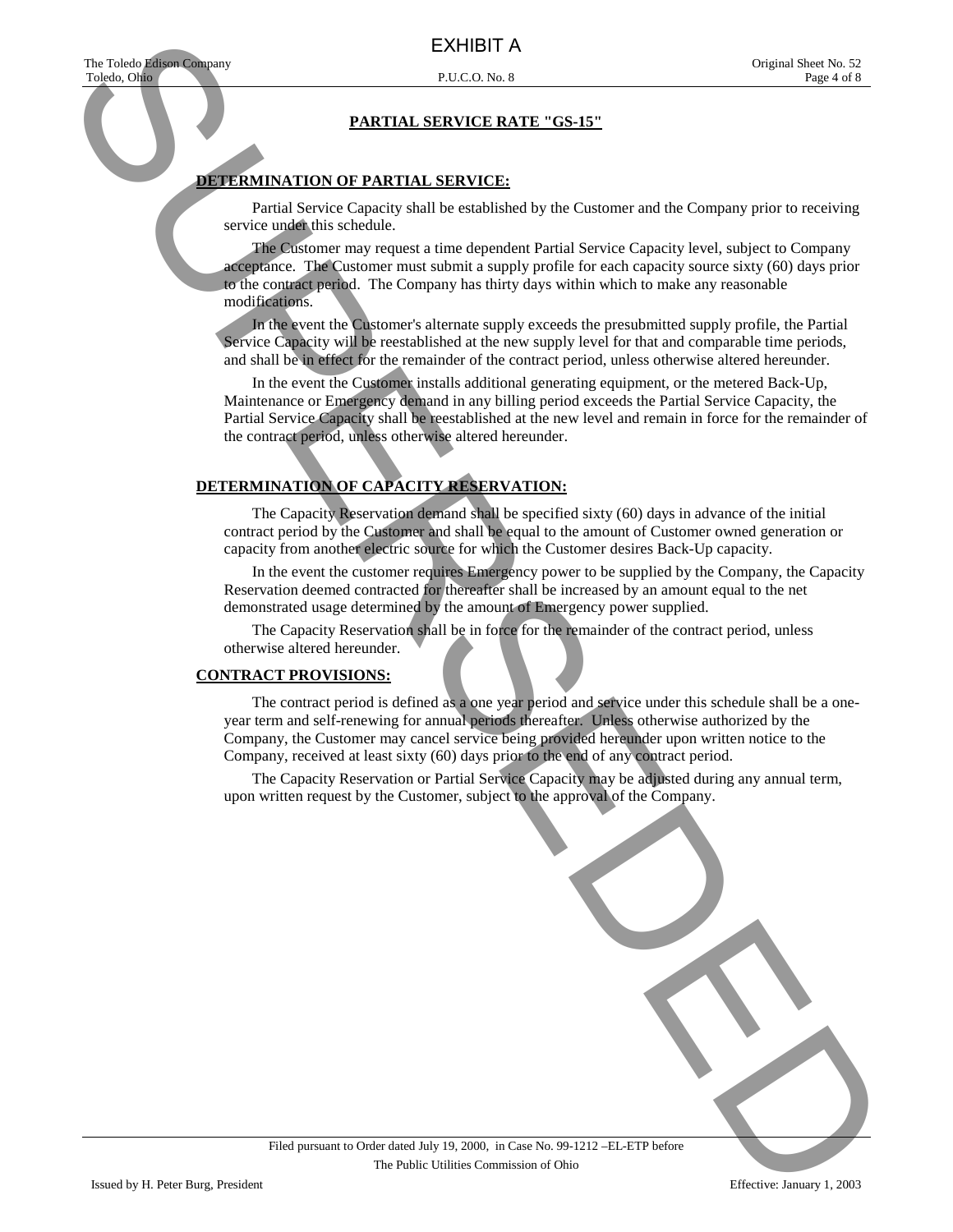#### **DETERMINATION OF PARTIAL SERVICE:**

 Partial Service Capacity shall be established by the Customer and the Company prior to receiving service under this schedule.

 The Customer may request a time dependent Partial Service Capacity level, subject to Company acceptance. The Customer must submit a supply profile for each capacity source sixty (60) days prior to the contract period. The Company has thirty days within which to make any reasonable modifications.

 In the event the Customer's alternate supply exceeds the presubmitted supply profile, the Partial Service Capacity will be reestablished at the new supply level for that and comparable time periods, and shall be in effect for the remainder of the contract period, unless otherwise altered hereunder.

 In the event the Customer installs additional generating equipment, or the metered Back-Up, Maintenance or Emergency demand in any billing period exceeds the Partial Service Capacity, the Partial Service Capacity shall be reestablished at the new level and remain in force for the remainder of the contract period, unless otherwise altered hereunder.

### **DETERMINATION OF CAPACITY RESERVATION:**

 The Capacity Reservation demand shall be specified sixty (60) days in advance of the initial contract period by the Customer and shall be equal to the amount of Customer owned generation or capacity from another electric source for which the Customer desires Back-Up capacity.

 In the event the customer requires Emergency power to be supplied by the Company, the Capacity Reservation deemed contracted for thereafter shall be increased by an amount equal to the net demonstrated usage determined by the amount of Emergency power supplied.

 The Capacity Reservation shall be in force for the remainder of the contract period, unless otherwise altered hereunder.

#### **CONTRACT PROVISIONS:**

 The contract period is defined as a one year period and service under this schedule shall be a oneyear term and self-renewing for annual periods thereafter. Unless otherwise authorized by the Company, the Customer may cancel service being provided hereunder upon written notice to the Company, received at least sixty (60) days prior to the end of any contract period.

 The Capacity Reservation or Partial Service Capacity may be adjusted during any annual term, upon written request by the Customer, subject to the approval of the Company.

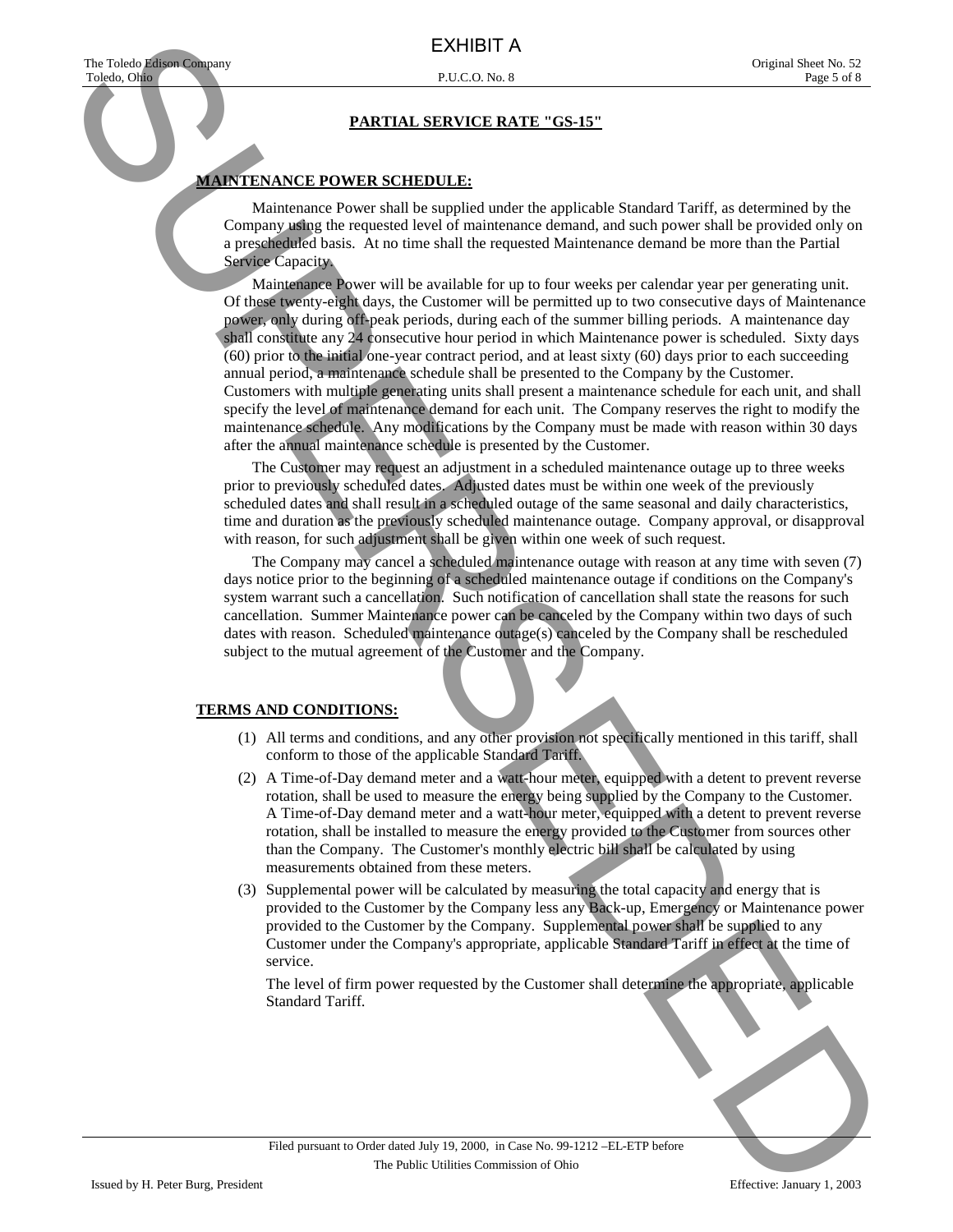#### **MAINTENANCE POWER SCHEDULE:**

 Maintenance Power shall be supplied under the applicable Standard Tariff, as determined by the Company using the requested level of maintenance demand, and such power shall be provided only on a prescheduled basis. At no time shall the requested Maintenance demand be more than the Partial Service Capacity.

 Maintenance Power will be available for up to four weeks per calendar year per generating unit. Of these twenty-eight days, the Customer will be permitted up to two consecutive days of Maintenance power, only during off-peak periods, during each of the summer billing periods. A maintenance day shall constitute any 24 consecutive hour period in which Maintenance power is scheduled. Sixty days (60) prior to the initial one-year contract period, and at least sixty (60) days prior to each succeeding annual period, a maintenance schedule shall be presented to the Company by the Customer. Customers with multiple generating units shall present a maintenance schedule for each unit, and shall specify the level of maintenance demand for each unit. The Company reserves the right to modify the maintenance schedule. Any modifications by the Company must be made with reason within 30 days after the annual maintenance schedule is presented by the Customer. EXHIBIT A CONTRACT CONTRACT CONTRACT CONTRACT CONTRACT CONTRACT CONTRACT CONTRACT CONTRACT CONTRACT CONTRACT CONTRACT CONTRACT CONTRACT CONTRACT CONTRACT CONTRACT CONTRACT CONTRACT CONTRACT CONTRACT CONTRACT CONTRACT CONT

 The Customer may request an adjustment in a scheduled maintenance outage up to three weeks prior to previously scheduled dates. Adjusted dates must be within one week of the previously scheduled dates and shall result in a scheduled outage of the same seasonal and daily characteristics, time and duration as the previously scheduled maintenance outage. Company approval, or disapproval with reason, for such adjustment shall be given within one week of such request.

 The Company may cancel a scheduled maintenance outage with reason at any time with seven (7) days notice prior to the beginning of a scheduled maintenance outage if conditions on the Company's system warrant such a cancellation. Such notification of cancellation shall state the reasons for such cancellation. Summer Maintenance power can be canceled by the Company within two days of such dates with reason. Scheduled maintenance outage(s) canceled by the Company shall be rescheduled subject to the mutual agreement of the Customer and the Company.

#### **TERMS AND CONDITIONS:**

- (1) All terms and conditions, and any other provision not specifically mentioned in this tariff, shall conform to those of the applicable Standard Tariff.
- (2) A Time-of-Day demand meter and a watt-hour meter, equipped with a detent to prevent reverse rotation, shall be used to measure the energy being supplied by the Company to the Customer. A Time-of-Day demand meter and a watt-hour meter, equipped with a detent to prevent reverse rotation, shall be installed to measure the energy provided to the Customer from sources other than the Company. The Customer's monthly electric bill shall be calculated by using measurements obtained from these meters.
- (3) Supplemental power will be calculated by measuring the total capacity and energy that is provided to the Customer by the Company less any Back-up, Emergency or Maintenance power provided to the Customer by the Company. Supplemental power shall be supplied to any Customer under the Company's appropriate, applicable Standard Tariff in effect at the time of service.

 The level of firm power requested by the Customer shall determine the appropriate, applicable Standard Tariff.

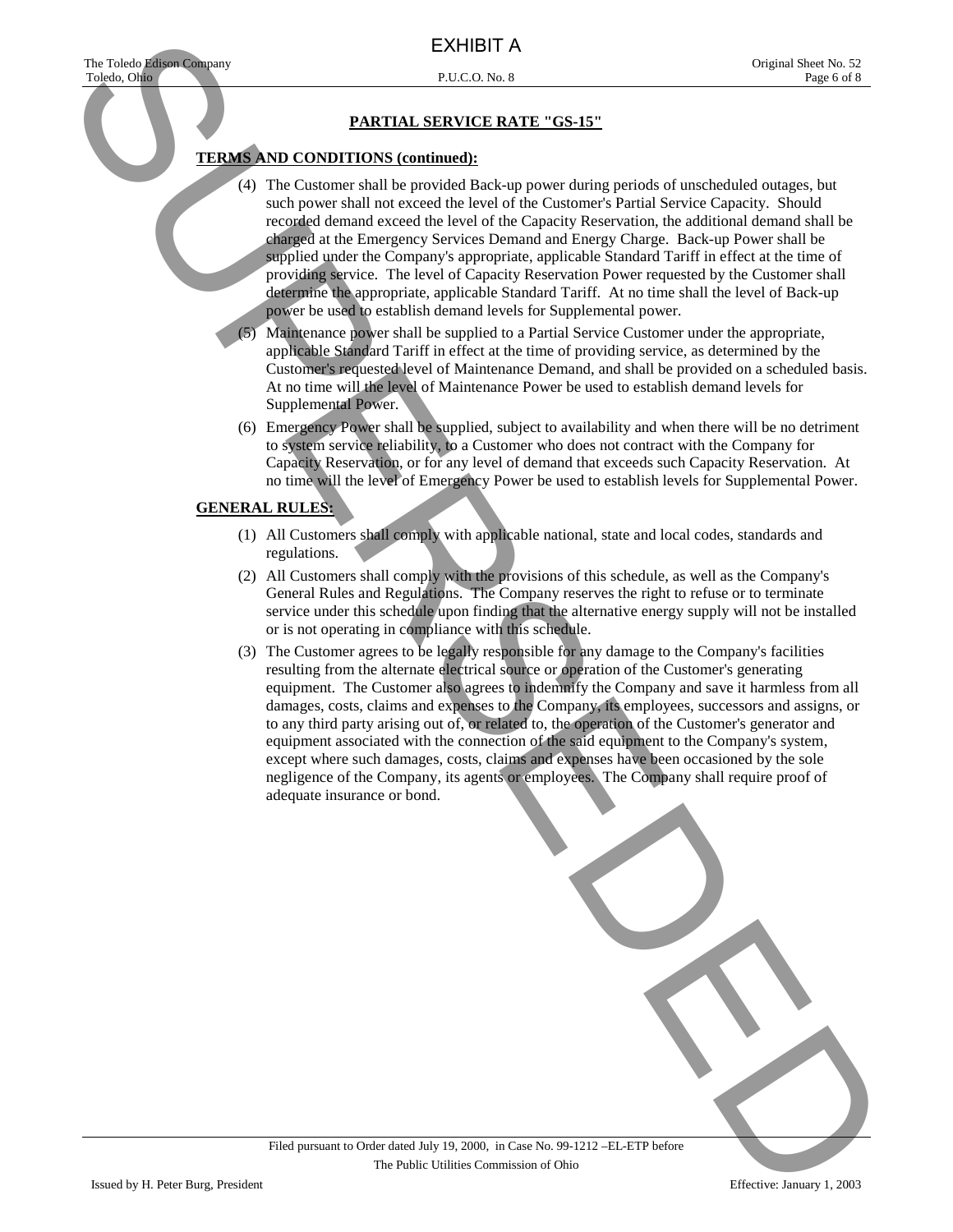#### **TERMS AND CONDITIONS (continued):**

 (4) The Customer shall be provided Back-up power during periods of unscheduled outages, but such power shall not exceed the level of the Customer's Partial Service Capacity. Should recorded demand exceed the level of the Capacity Reservation, the additional demand shall be charged at the Emergency Services Demand and Energy Charge. Back-up Power shall be supplied under the Company's appropriate, applicable Standard Tariff in effect at the time of providing service. The level of Capacity Reservation Power requested by the Customer shall determine the appropriate, applicable Standard Tariff. At no time shall the level of Back-up power be used to establish demand levels for Supplemental power.

 (5) Maintenance power shall be supplied to a Partial Service Customer under the appropriate, applicable Standard Tariff in effect at the time of providing service, as determined by the Customer's requested level of Maintenance Demand, and shall be provided on a scheduled basis. At no time will the level of Maintenance Power be used to establish demand levels for Supplemental Power.

 (6) Emergency Power shall be supplied, subject to availability and when there will be no detriment to system service reliability, to a Customer who does not contract with the Company for Capacity Reservation, or for any level of demand that exceeds such Capacity Reservation. At no time will the level of Emergency Power be used to establish levels for Supplemental Power.

#### **GENERAL RULES:**

- (1) All Customers shall comply with applicable national, state and local codes, standards and regulations.
- (2) All Customers shall comply with the provisions of this schedule, as well as the Company's General Rules and Regulations. The Company reserves the right to refuse or to terminate service under this schedule upon finding that the alternative energy supply will not be installed or is not operating in compliance with this schedule.
- (3) The Customer agrees to be legally responsible for any damage to the Company's facilities resulting from the alternate electrical source or operation of the Customer's generating equipment. The Customer also agrees to indemnify the Company and save it harmless from all damages, costs, claims and expenses to the Company, its employees, successors and assigns, or to any third party arising out of, or related to, the operation of the Customer's generator and equipment associated with the connection of the said equipment to the Company's system, except where such damages, costs, claims and expenses have been occasioned by the sole negligence of the Company, its agents or employees. The Company shall require proof of adequate insurance or bond. EXHIBIT AT SERVE OF THE VALUE ACTION CONTINUES IN THE VALUE ACTION CONTINUES IN THE VALUE ACTION CONTINUES IN THE VALUE ACTION CONTINUES IN THE VALUE ACTION CONTINUES IN THE VALUE ACTION CONTINUES IN THE VALUE ACTION CONT

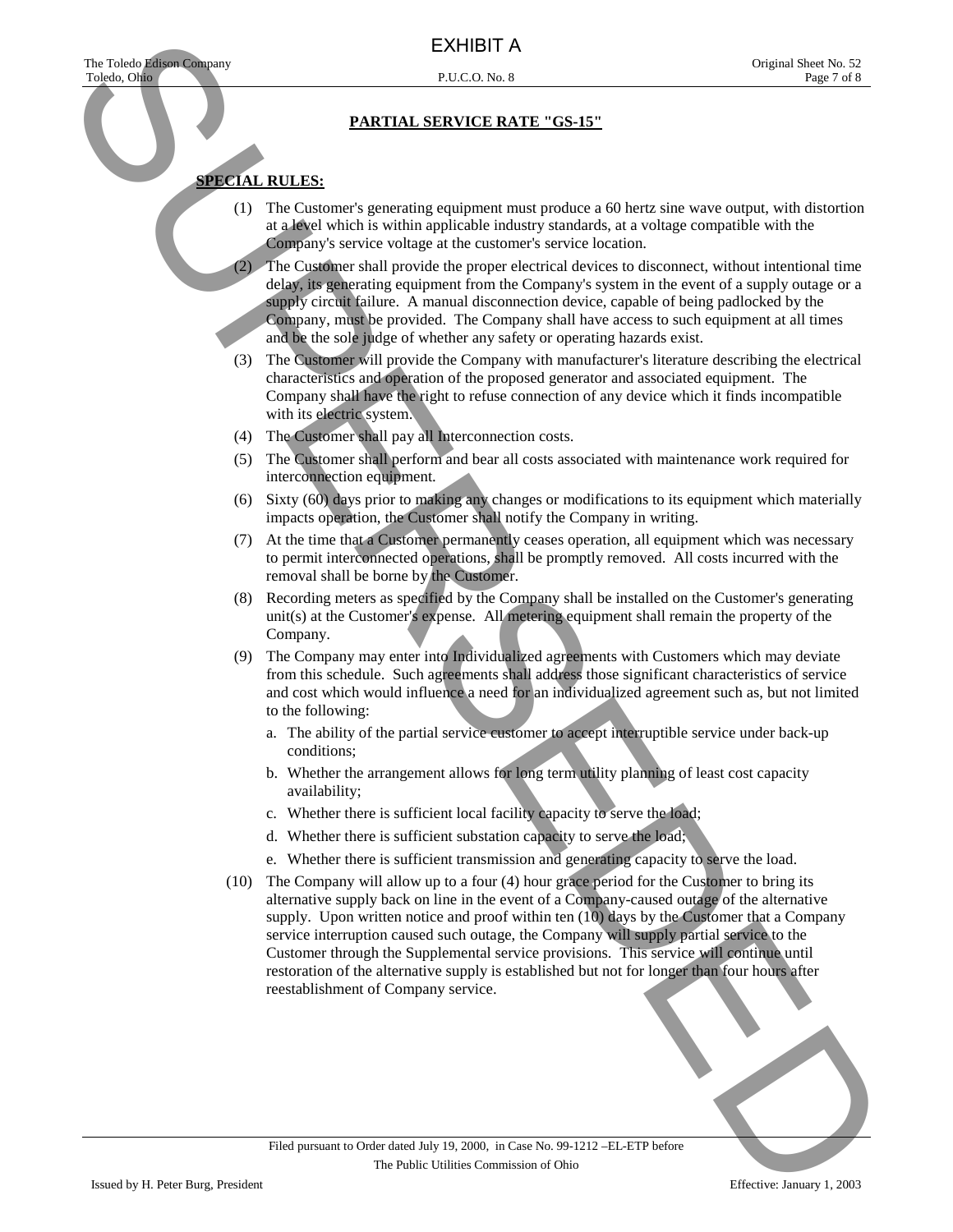## **SPECIAL RULES:**

- (1) The Customer's generating equipment must produce a 60 hertz sine wave output, with distortion at a level which is within applicable industry standards, at a voltage compatible with the Company's service voltage at the customer's service location.
- (2) The Customer shall provide the proper electrical devices to disconnect, without intentional time delay, its generating equipment from the Company's system in the event of a supply outage or a supply circuit failure. A manual disconnection device, capable of being padlocked by the Company, must be provided. The Company shall have access to such equipment at all times and be the sole judge of whether any safety or operating hazards exist.
- (3) The Customer will provide the Company with manufacturer's literature describing the electrical characteristics and operation of the proposed generator and associated equipment. The Company shall have the right to refuse connection of any device which it finds incompatible with its electric system.
- (4) The Customer shall pay all Interconnection costs.
- (5) The Customer shall perform and bear all costs associated with maintenance work required for interconnection equipment.
- (6) Sixty (60) days prior to making any changes or modifications to its equipment which materially impacts operation, the Customer shall notify the Company in writing.
- (7) At the time that a Customer permanently ceases operation, all equipment which was necessary to permit interconnected operations, shall be promptly removed. All costs incurred with the removal shall be borne by the Customer.
- (8) Recording meters as specified by the Company shall be installed on the Customer's generating unit(s) at the Customer's expense. All metering equipment shall remain the property of the Company.
- (9) The Company may enter into Individualized agreements with Customers which may deviate from this schedule. Such agreements shall address those significant characteristics of service and cost which would influence a need for an individualized agreement such as, but not limited to the following:
	- a. The ability of the partial service customer to accept interruptible service under back-up conditions;
	- b. Whether the arrangement allows for long term utility planning of least cost capacity availability;
	- c. Whether there is sufficient local facility capacity to serve the load;
	- d. Whether there is sufficient substation capacity to serve the load;
	- e. Whether there is sufficient transmission and generating capacity to serve the load.
- (10) The Company will allow up to a four (4) hour grace period for the Customer to bring its alternative supply back on line in the event of a Company-caused outage of the alternative supply. Upon written notice and proof within ten (10) days by the Customer that a Company service interruption caused such outage, the Company will supply partial service to the Customer through the Supplemental service provisions. This service will continue until restoration of the alternative supply is established but not for longer than four hours after reestablishment of Company service. EXHIBIT A CONTRACT CHECK CHECK CHECK CHECK CHECK CHECK CHECK CHECK CHECK CHECK CHECK CHECK CHECK CHECK CHECK CHECK CHECK CHECK CHECK CHECK CHECK CHECK CHECK CHECK CHECK CHECK CHECK CHECK CHECK CHECK CHECK CHECK CHECK CHEC

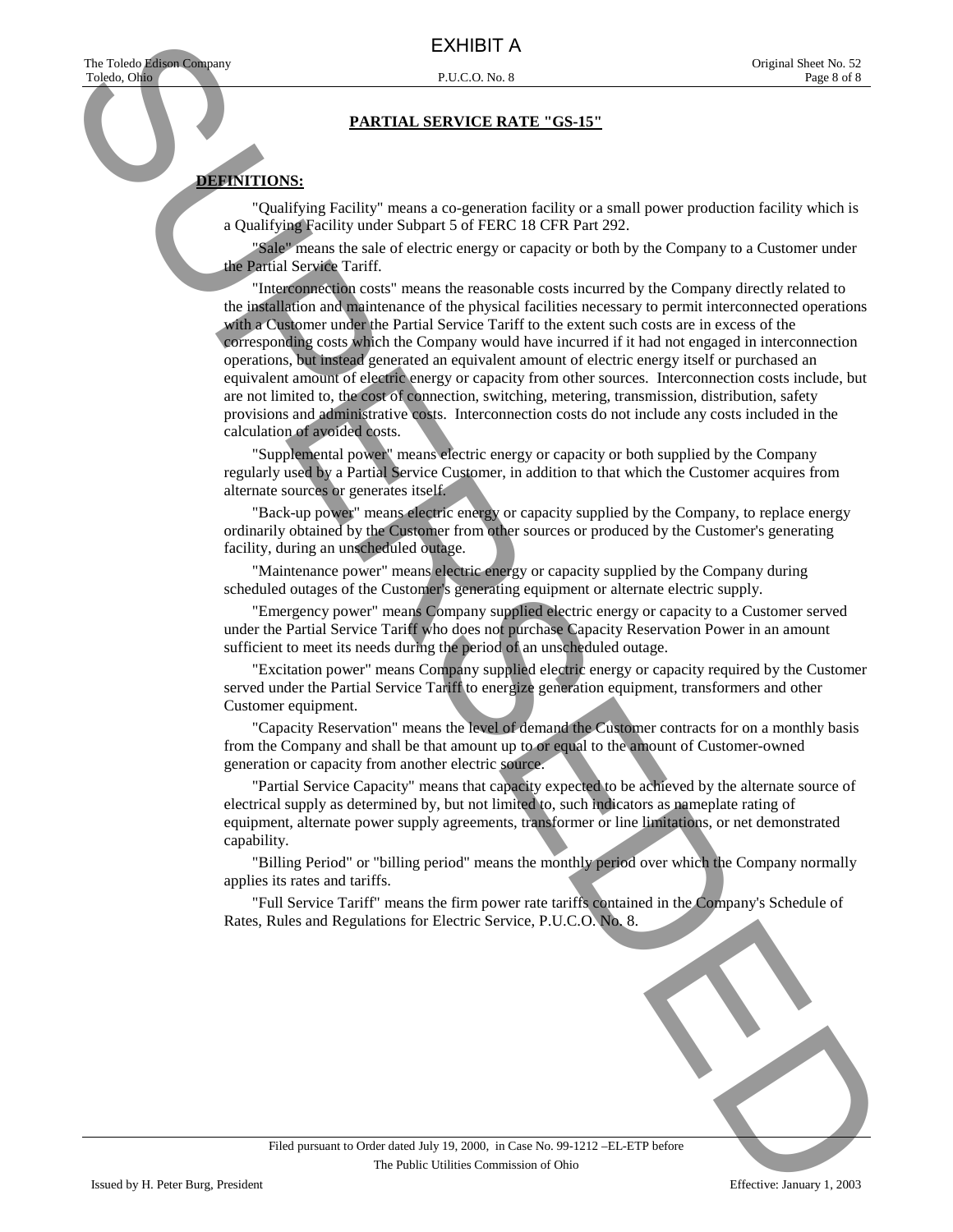## **DEFINITIONS:**

 "Qualifying Facility" means a co-generation facility or a small power production facility which is a Qualifying Facility under Subpart 5 of FERC 18 CFR Part 292.

"Sale" means the sale of electric energy or capacity or both by the Company to a Customer under the Partial Service Tariff.

 "Interconnection costs" means the reasonable costs incurred by the Company directly related to the installation and maintenance of the physical facilities necessary to permit interconnected operations with a Customer under the Partial Service Tariff to the extent such costs are in excess of the corresponding costs which the Company would have incurred if it had not engaged in interconnection operations, but instead generated an equivalent amount of electric energy itself or purchased an equivalent amount of electric energy or capacity from other sources. Interconnection costs include, but are not limited to, the cost of connection, switching, metering, transmission, distribution, safety provisions and administrative costs. Interconnection costs do not include any costs included in the calculation of avoided costs. EXHIBIT A SURVEY CONTRACT CONTRACT CONTRACT CONTRACT CONTRACT CONTRACT CONTRACT CONTRACT CONTRACT CONTRACT CONTRACT CONTRACT CONTRACT CONTRACT CONTRACT CONTRACT CONTRACT CONTRACT CONTRACT CONTRACT CONTRACT CONTRACT CONTRA

 "Supplemental power" means electric energy or capacity or both supplied by the Company regularly used by a Partial Service Customer, in addition to that which the Customer acquires from alternate sources or generates itself.

 "Back-up power" means electric energy or capacity supplied by the Company, to replace energy ordinarily obtained by the Customer from other sources or produced by the Customer's generating facility, during an unscheduled outage.

 "Maintenance power" means electric energy or capacity supplied by the Company during scheduled outages of the Customer's generating equipment or alternate electric supply.

 "Emergency power" means Company supplied electric energy or capacity to a Customer served under the Partial Service Tariff who does not purchase Capacity Reservation Power in an amount sufficient to meet its needs during the period of an unscheduled outage.

 "Excitation power" means Company supplied electric energy or capacity required by the Customer served under the Partial Service Tariff to energize generation equipment, transformers and other Customer equipment.

 "Capacity Reservation" means the level of demand the Customer contracts for on a monthly basis from the Company and shall be that amount up to or equal to the amount of Customer-owned generation or capacity from another electric source.

 "Partial Service Capacity" means that capacity expected to be achieved by the alternate source of electrical supply as determined by, but not limited to, such indicators as nameplate rating of equipment, alternate power supply agreements, transformer or line limitations, or net demonstrated capability.

 "Billing Period" or "billing period" means the monthly period over which the Company normally applies its rates and tariffs.

 "Full Service Tariff" means the firm power rate tariffs contained in the Company's Schedule of Rates, Rules and Regulations for Electric Service, P.U.C.O. No. 8.

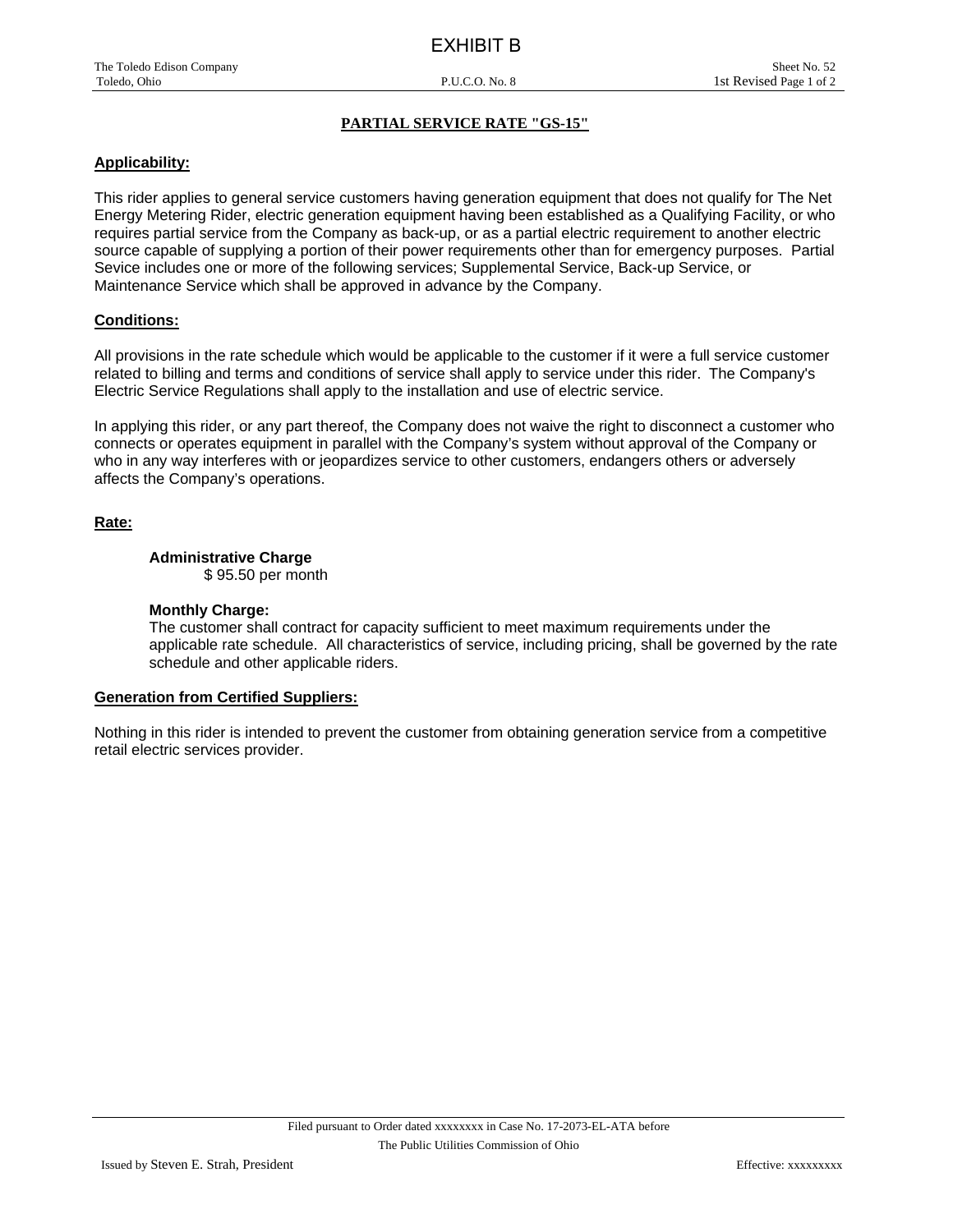#### **Applicability:**

This rider applies to general service customers having generation equipment that does not qualify for The Net Energy Metering Rider, electric generation equipment having been established as a Qualifying Facility, or who requires partial service from the Company as back-up, or as a partial electric requirement to another electric source capable of supplying a portion of their power requirements other than for emergency purposes. Partial Sevice includes one or more of the following services; Supplemental Service, Back-up Service, or Maintenance Service which shall be approved in advance by the Company.

#### **Conditions:**

All provisions in the rate schedule which would be applicable to the customer if it were a full service customer related to billing and terms and conditions of service shall apply to service under this rider. The Company's Electric Service Regulations shall apply to the installation and use of electric service.

In applying this rider, or any part thereof, the Company does not waive the right to disconnect a customer who connects or operates equipment in parallel with the Company's system without approval of the Company or who in any way interferes with or jeopardizes service to other customers, endangers others or adversely affects the Company's operations.

#### **Rate:**

#### **Administrative Charge**

\$ 95.50 per month

#### **Monthly Charge:**

The customer shall contract for capacity sufficient to meet maximum requirements under the applicable rate schedule. All characteristics of service, including pricing, shall be governed by the rate schedule and other applicable riders.

#### **Generation from Certified Suppliers:**

Nothing in this rider is intended to prevent the customer from obtaining generation service from a competitive retail electric services provider.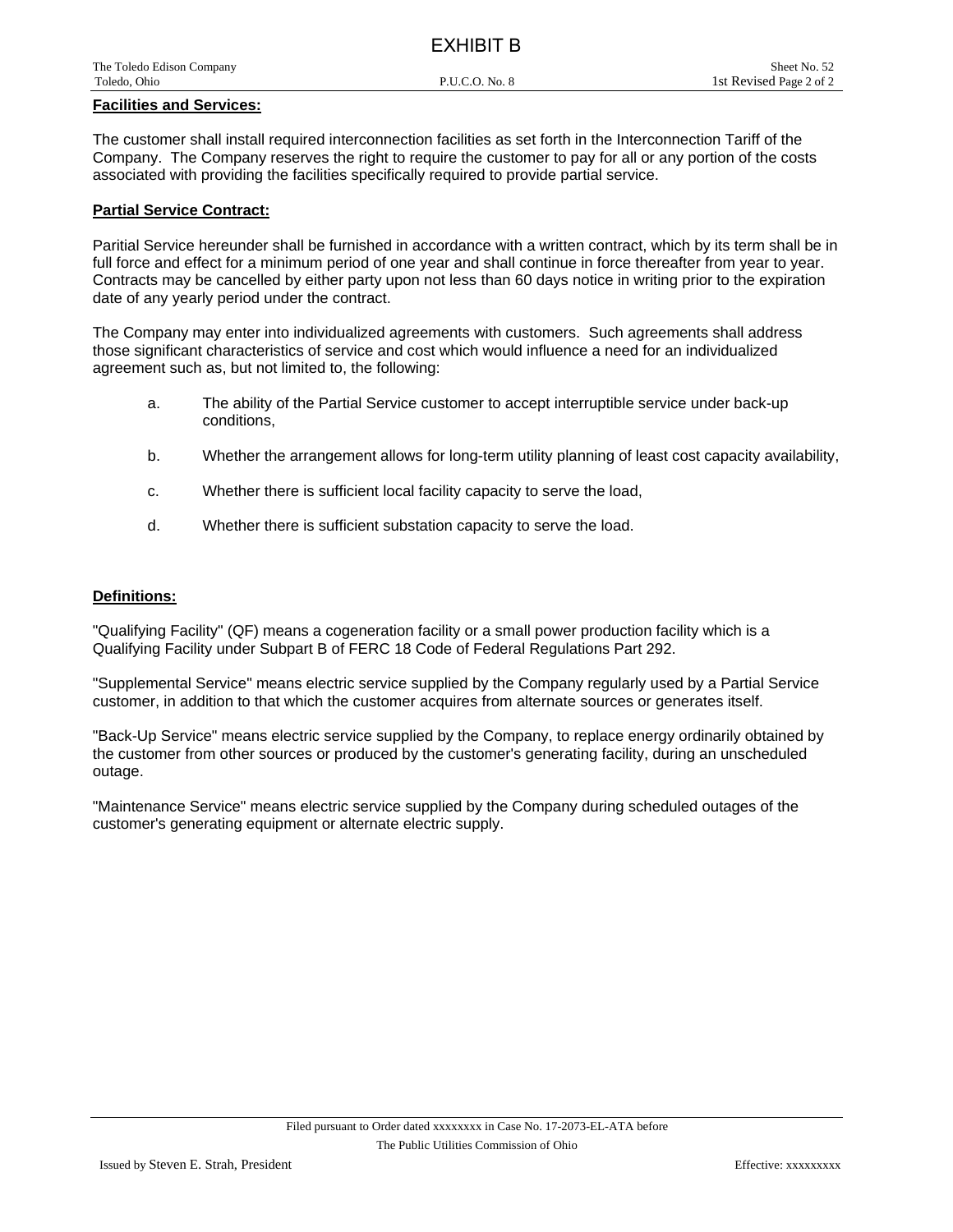| 申して リング・シーム アール あいしょう ファール |                |                         |
|----------------------------|----------------|-------------------------|
| Toledo, Ohio               | P.U.C.O. No. 8 | 1st Revised Page 2 of 2 |
| The Toledo Edison Company  |                | Sheet No. 52            |
|                            |                |                         |

EXHIBIT B

#### **Facilities and Services:**

The customer shall install required interconnection facilities as set forth in the Interconnection Tariff of the Company. The Company reserves the right to require the customer to pay for all or any portion of the costs associated with providing the facilities specifically required to provide partial service.

#### **Partial Service Contract:**

Paritial Service hereunder shall be furnished in accordance with a written contract, which by its term shall be in full force and effect for a minimum period of one year and shall continue in force thereafter from year to year. Contracts may be cancelled by either party upon not less than 60 days notice in writing prior to the expiration date of any yearly period under the contract.

The Company may enter into individualized agreements with customers. Such agreements shall address those significant characteristics of service and cost which would influence a need for an individualized agreement such as, but not limited to, the following:

- a. The ability of the Partial Service customer to accept interruptible service under back-up conditions,
- b. Whether the arrangement allows for long-term utility planning of least cost capacity availability,
- c. Whether there is sufficient local facility capacity to serve the load,
- d. Whether there is sufficient substation capacity to serve the load.

#### **Definitions:**

"Qualifying Facility" (QF) means a cogeneration facility or a small power production facility which is a Qualifying Facility under Subpart B of FERC 18 Code of Federal Regulations Part 292.

"Supplemental Service" means electric service supplied by the Company regularly used by a Partial Service customer, in addition to that which the customer acquires from alternate sources or generates itself.

"Back-Up Service" means electric service supplied by the Company, to replace energy ordinarily obtained by the customer from other sources or produced by the customer's generating facility, during an unscheduled outage.

"Maintenance Service" means electric service supplied by the Company during scheduled outages of the customer's generating equipment or alternate electric supply.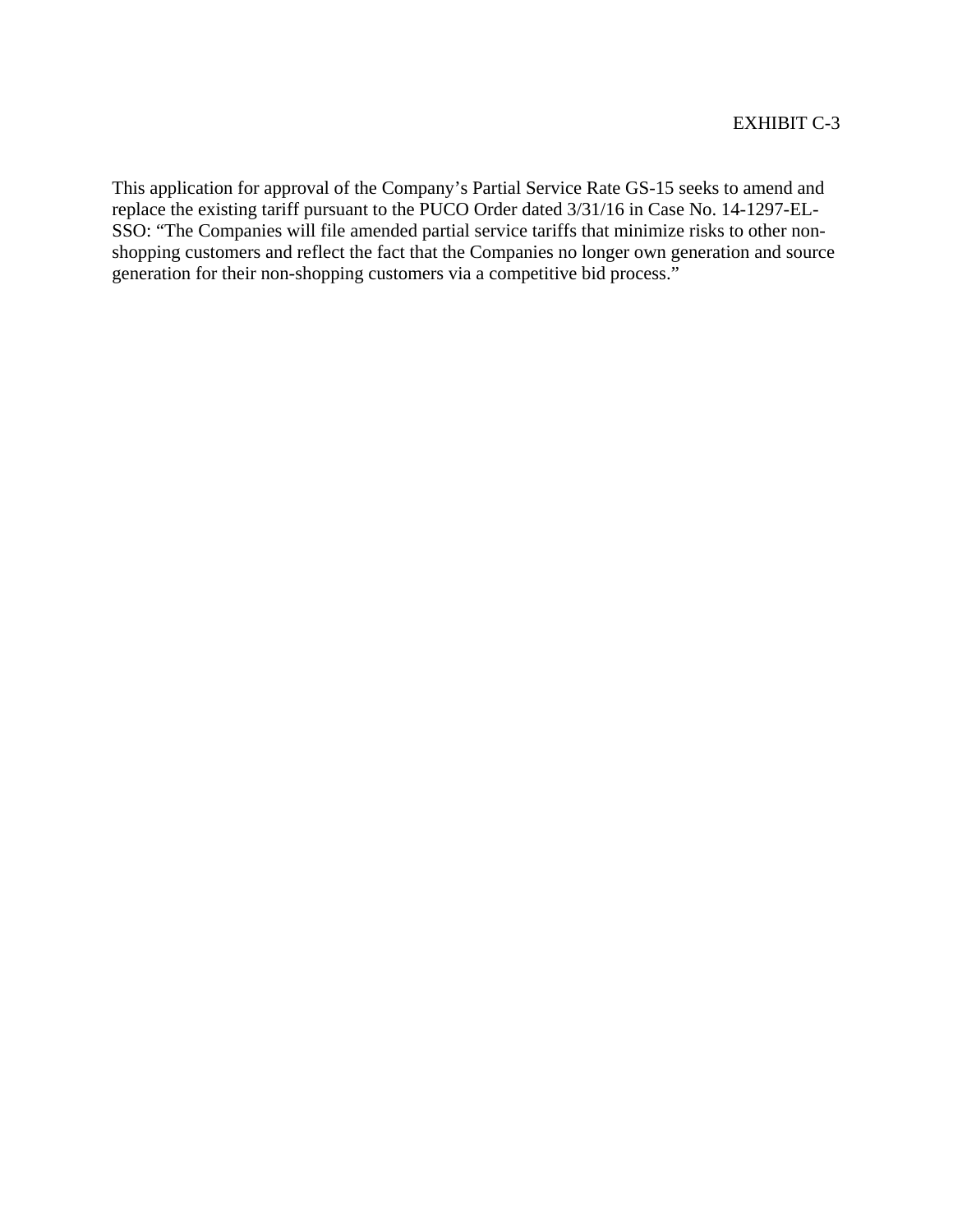This application for approval of the Company's Partial Service Rate GS-15 seeks to amend and replace the existing tariff pursuant to the PUCO Order dated 3/31/16 in Case No. 14-1297-EL-SSO: "The Companies will file amended partial service tariffs that minimize risks to other nonshopping customers and reflect the fact that the Companies no longer own generation and source generation for their non-shopping customers via a competitive bid process."